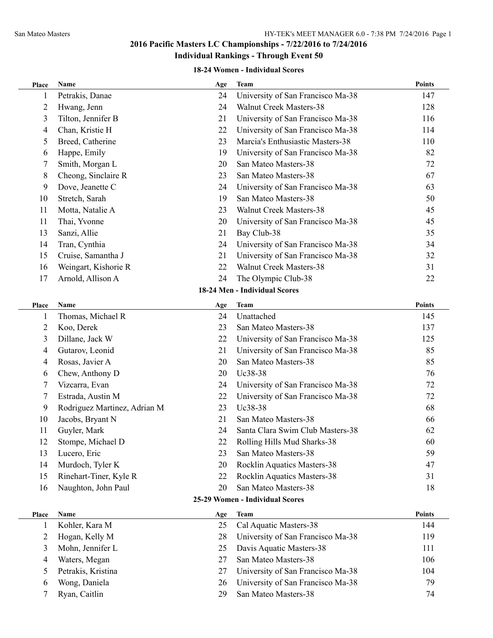#### **18-24 Women - Individual Scores**

| Petrakis, Danae<br>University of San Francisco Ma-38<br>147<br>24<br>Walnut Creek Masters-38<br>$\overline{2}$<br>Hwang, Jenn<br>24<br>128<br>Tilton, Jennifer B<br>University of San Francisco Ma-38<br>3<br>21<br>116<br>Chan, Kristie H<br>22<br>University of San Francisco Ma-38<br>114<br>4<br>Marcia's Enthusiastic Masters-38<br>5<br>Breed, Catherine<br>23<br>110<br>Happe, Emily<br>University of San Francisco Ma-38<br>82<br>19<br>6<br>Smith, Morgan L<br>San Mateo Masters-38<br>72<br>7<br>20<br>8<br>Cheong, Sinclaire R<br>23<br>San Mateo Masters-38<br>67<br>Dove, Jeanette C<br>9<br>University of San Francisco Ma-38<br>63<br>24<br>San Mateo Masters-38<br>10<br>Stretch, Sarah<br>19<br>50<br>11<br>Motta, Natalie A<br>23<br><b>Walnut Creek Masters-38</b><br>45<br>11<br>Thai, Yvonne<br>University of San Francisco Ma-38<br>45<br>20<br>13<br>Sanzi, Allie<br>21<br>Bay Club-38<br>35<br>Tran, Cynthia<br>24<br>University of San Francisco Ma-38<br>34<br>14<br>Cruise, Samantha J<br>15<br>21<br>University of San Francisco Ma-38<br>32<br>Walnut Creek Masters-38<br>Weingart, Kishorie R<br>22<br>31<br>16<br>Arnold, Allison A<br>The Olympic Club-38<br>17<br>24<br>22<br>18-24 Men - Individual Scores<br>Points<br>Name<br>Team<br>Place<br>Age<br>Thomas, Michael R<br>Unattached<br>24<br>1<br>145<br>Koo, Derek<br>$\overline{2}$<br>23<br>San Mateo Masters-38<br>137<br>University of San Francisco Ma-38<br>3<br>Dillane, Jack W<br>22<br>125<br>Gutarov, Leonid<br>University of San Francisco Ma-38<br>21<br>85<br>4<br>San Mateo Masters-38<br>Rosas, Javier A<br>20<br>85<br>4<br>Uc38-38<br>Chew, Anthony D<br>20<br>76<br>6<br>Vizcarra, Evan<br>University of San Francisco Ma-38<br>7<br>24<br>72<br>Estrada, Austin M<br>University of San Francisco Ma-38<br>72<br>7<br>22<br>Rodriguez Martinez, Adrian M<br>Uc38-38<br>23<br>68<br>9<br>Jacobs, Bryant N<br>21<br>San Mateo Masters-38<br>10<br>66<br>Santa Clara Swim Club Masters-38<br>Guyler, Mark<br>24<br>62<br>11<br>12<br>Stompe, Michael D<br>60<br>22<br>Rolling Hills Mud Sharks-38<br>Lucero, Eric<br>23<br>San Mateo Masters-38<br>59<br>13<br>Rocklin Aquatics Masters-38<br>14<br>Murdoch, Tyler K<br>20<br>47<br>Rinehart-Tiner, Kyle R<br>Rocklin Aquatics Masters-38<br>15<br>22<br>31<br>San Mateo Masters-38<br>Naughton, John Paul<br>16<br>20<br>18<br>25-29 Women - Individual Scores<br><b>Points</b><br>Name<br><b>Team</b><br>Age<br>Place<br>Kohler, Kara M<br>Cal Aquatic Masters-38<br>144<br>25<br>1<br>University of San Francisco Ma-38<br>$\overline{c}$<br>Hogan, Kelly M<br>28<br>119<br>Mohn, Jennifer L<br>Davis Aquatic Masters-38<br>3<br>25<br>111<br>San Mateo Masters-38<br>Waters, Megan<br>27<br>106<br>4<br>Petrakis, Kristina<br>University of San Francisco Ma-38<br>5<br>27<br>104<br>Wong, Daniela<br>University of San Francisco Ma-38<br>26<br>79<br>6<br>Ryan, Caitlin<br>San Mateo Masters-38<br>29<br>74<br>7 | Place | Name | Age | <b>Team</b> | <b>Points</b> |
|------------------------------------------------------------------------------------------------------------------------------------------------------------------------------------------------------------------------------------------------------------------------------------------------------------------------------------------------------------------------------------------------------------------------------------------------------------------------------------------------------------------------------------------------------------------------------------------------------------------------------------------------------------------------------------------------------------------------------------------------------------------------------------------------------------------------------------------------------------------------------------------------------------------------------------------------------------------------------------------------------------------------------------------------------------------------------------------------------------------------------------------------------------------------------------------------------------------------------------------------------------------------------------------------------------------------------------------------------------------------------------------------------------------------------------------------------------------------------------------------------------------------------------------------------------------------------------------------------------------------------------------------------------------------------------------------------------------------------------------------------------------------------------------------------------------------------------------------------------------------------------------------------------------------------------------------------------------------------------------------------------------------------------------------------------------------------------------------------------------------------------------------------------------------------------------------------------------------------------------------------------------------------------------------------------------------------------------------------------------------------------------------------------------------------------------------------------------------------------------------------------------------------------------------------------------------------------------------------------------------------------------------------------------------------------------------------------------------------------------------------------------------------------------------------------------------------------------------------------------------------------------------------------------------------------------------------------------------------|-------|------|-----|-------------|---------------|
|                                                                                                                                                                                                                                                                                                                                                                                                                                                                                                                                                                                                                                                                                                                                                                                                                                                                                                                                                                                                                                                                                                                                                                                                                                                                                                                                                                                                                                                                                                                                                                                                                                                                                                                                                                                                                                                                                                                                                                                                                                                                                                                                                                                                                                                                                                                                                                                                                                                                                                                                                                                                                                                                                                                                                                                                                                                                                                                                                                              |       |      |     |             |               |
|                                                                                                                                                                                                                                                                                                                                                                                                                                                                                                                                                                                                                                                                                                                                                                                                                                                                                                                                                                                                                                                                                                                                                                                                                                                                                                                                                                                                                                                                                                                                                                                                                                                                                                                                                                                                                                                                                                                                                                                                                                                                                                                                                                                                                                                                                                                                                                                                                                                                                                                                                                                                                                                                                                                                                                                                                                                                                                                                                                              |       |      |     |             |               |
|                                                                                                                                                                                                                                                                                                                                                                                                                                                                                                                                                                                                                                                                                                                                                                                                                                                                                                                                                                                                                                                                                                                                                                                                                                                                                                                                                                                                                                                                                                                                                                                                                                                                                                                                                                                                                                                                                                                                                                                                                                                                                                                                                                                                                                                                                                                                                                                                                                                                                                                                                                                                                                                                                                                                                                                                                                                                                                                                                                              |       |      |     |             |               |
|                                                                                                                                                                                                                                                                                                                                                                                                                                                                                                                                                                                                                                                                                                                                                                                                                                                                                                                                                                                                                                                                                                                                                                                                                                                                                                                                                                                                                                                                                                                                                                                                                                                                                                                                                                                                                                                                                                                                                                                                                                                                                                                                                                                                                                                                                                                                                                                                                                                                                                                                                                                                                                                                                                                                                                                                                                                                                                                                                                              |       |      |     |             |               |
|                                                                                                                                                                                                                                                                                                                                                                                                                                                                                                                                                                                                                                                                                                                                                                                                                                                                                                                                                                                                                                                                                                                                                                                                                                                                                                                                                                                                                                                                                                                                                                                                                                                                                                                                                                                                                                                                                                                                                                                                                                                                                                                                                                                                                                                                                                                                                                                                                                                                                                                                                                                                                                                                                                                                                                                                                                                                                                                                                                              |       |      |     |             |               |
|                                                                                                                                                                                                                                                                                                                                                                                                                                                                                                                                                                                                                                                                                                                                                                                                                                                                                                                                                                                                                                                                                                                                                                                                                                                                                                                                                                                                                                                                                                                                                                                                                                                                                                                                                                                                                                                                                                                                                                                                                                                                                                                                                                                                                                                                                                                                                                                                                                                                                                                                                                                                                                                                                                                                                                                                                                                                                                                                                                              |       |      |     |             |               |
|                                                                                                                                                                                                                                                                                                                                                                                                                                                                                                                                                                                                                                                                                                                                                                                                                                                                                                                                                                                                                                                                                                                                                                                                                                                                                                                                                                                                                                                                                                                                                                                                                                                                                                                                                                                                                                                                                                                                                                                                                                                                                                                                                                                                                                                                                                                                                                                                                                                                                                                                                                                                                                                                                                                                                                                                                                                                                                                                                                              |       |      |     |             |               |
|                                                                                                                                                                                                                                                                                                                                                                                                                                                                                                                                                                                                                                                                                                                                                                                                                                                                                                                                                                                                                                                                                                                                                                                                                                                                                                                                                                                                                                                                                                                                                                                                                                                                                                                                                                                                                                                                                                                                                                                                                                                                                                                                                                                                                                                                                                                                                                                                                                                                                                                                                                                                                                                                                                                                                                                                                                                                                                                                                                              |       |      |     |             |               |
|                                                                                                                                                                                                                                                                                                                                                                                                                                                                                                                                                                                                                                                                                                                                                                                                                                                                                                                                                                                                                                                                                                                                                                                                                                                                                                                                                                                                                                                                                                                                                                                                                                                                                                                                                                                                                                                                                                                                                                                                                                                                                                                                                                                                                                                                                                                                                                                                                                                                                                                                                                                                                                                                                                                                                                                                                                                                                                                                                                              |       |      |     |             |               |
|                                                                                                                                                                                                                                                                                                                                                                                                                                                                                                                                                                                                                                                                                                                                                                                                                                                                                                                                                                                                                                                                                                                                                                                                                                                                                                                                                                                                                                                                                                                                                                                                                                                                                                                                                                                                                                                                                                                                                                                                                                                                                                                                                                                                                                                                                                                                                                                                                                                                                                                                                                                                                                                                                                                                                                                                                                                                                                                                                                              |       |      |     |             |               |
|                                                                                                                                                                                                                                                                                                                                                                                                                                                                                                                                                                                                                                                                                                                                                                                                                                                                                                                                                                                                                                                                                                                                                                                                                                                                                                                                                                                                                                                                                                                                                                                                                                                                                                                                                                                                                                                                                                                                                                                                                                                                                                                                                                                                                                                                                                                                                                                                                                                                                                                                                                                                                                                                                                                                                                                                                                                                                                                                                                              |       |      |     |             |               |
|                                                                                                                                                                                                                                                                                                                                                                                                                                                                                                                                                                                                                                                                                                                                                                                                                                                                                                                                                                                                                                                                                                                                                                                                                                                                                                                                                                                                                                                                                                                                                                                                                                                                                                                                                                                                                                                                                                                                                                                                                                                                                                                                                                                                                                                                                                                                                                                                                                                                                                                                                                                                                                                                                                                                                                                                                                                                                                                                                                              |       |      |     |             |               |
|                                                                                                                                                                                                                                                                                                                                                                                                                                                                                                                                                                                                                                                                                                                                                                                                                                                                                                                                                                                                                                                                                                                                                                                                                                                                                                                                                                                                                                                                                                                                                                                                                                                                                                                                                                                                                                                                                                                                                                                                                                                                                                                                                                                                                                                                                                                                                                                                                                                                                                                                                                                                                                                                                                                                                                                                                                                                                                                                                                              |       |      |     |             |               |
|                                                                                                                                                                                                                                                                                                                                                                                                                                                                                                                                                                                                                                                                                                                                                                                                                                                                                                                                                                                                                                                                                                                                                                                                                                                                                                                                                                                                                                                                                                                                                                                                                                                                                                                                                                                                                                                                                                                                                                                                                                                                                                                                                                                                                                                                                                                                                                                                                                                                                                                                                                                                                                                                                                                                                                                                                                                                                                                                                                              |       |      |     |             |               |
|                                                                                                                                                                                                                                                                                                                                                                                                                                                                                                                                                                                                                                                                                                                                                                                                                                                                                                                                                                                                                                                                                                                                                                                                                                                                                                                                                                                                                                                                                                                                                                                                                                                                                                                                                                                                                                                                                                                                                                                                                                                                                                                                                                                                                                                                                                                                                                                                                                                                                                                                                                                                                                                                                                                                                                                                                                                                                                                                                                              |       |      |     |             |               |
|                                                                                                                                                                                                                                                                                                                                                                                                                                                                                                                                                                                                                                                                                                                                                                                                                                                                                                                                                                                                                                                                                                                                                                                                                                                                                                                                                                                                                                                                                                                                                                                                                                                                                                                                                                                                                                                                                                                                                                                                                                                                                                                                                                                                                                                                                                                                                                                                                                                                                                                                                                                                                                                                                                                                                                                                                                                                                                                                                                              |       |      |     |             |               |
|                                                                                                                                                                                                                                                                                                                                                                                                                                                                                                                                                                                                                                                                                                                                                                                                                                                                                                                                                                                                                                                                                                                                                                                                                                                                                                                                                                                                                                                                                                                                                                                                                                                                                                                                                                                                                                                                                                                                                                                                                                                                                                                                                                                                                                                                                                                                                                                                                                                                                                                                                                                                                                                                                                                                                                                                                                                                                                                                                                              |       |      |     |             |               |
|                                                                                                                                                                                                                                                                                                                                                                                                                                                                                                                                                                                                                                                                                                                                                                                                                                                                                                                                                                                                                                                                                                                                                                                                                                                                                                                                                                                                                                                                                                                                                                                                                                                                                                                                                                                                                                                                                                                                                                                                                                                                                                                                                                                                                                                                                                                                                                                                                                                                                                                                                                                                                                                                                                                                                                                                                                                                                                                                                                              |       |      |     |             |               |
|                                                                                                                                                                                                                                                                                                                                                                                                                                                                                                                                                                                                                                                                                                                                                                                                                                                                                                                                                                                                                                                                                                                                                                                                                                                                                                                                                                                                                                                                                                                                                                                                                                                                                                                                                                                                                                                                                                                                                                                                                                                                                                                                                                                                                                                                                                                                                                                                                                                                                                                                                                                                                                                                                                                                                                                                                                                                                                                                                                              |       |      |     |             |               |
|                                                                                                                                                                                                                                                                                                                                                                                                                                                                                                                                                                                                                                                                                                                                                                                                                                                                                                                                                                                                                                                                                                                                                                                                                                                                                                                                                                                                                                                                                                                                                                                                                                                                                                                                                                                                                                                                                                                                                                                                                                                                                                                                                                                                                                                                                                                                                                                                                                                                                                                                                                                                                                                                                                                                                                                                                                                                                                                                                                              |       |      |     |             |               |
|                                                                                                                                                                                                                                                                                                                                                                                                                                                                                                                                                                                                                                                                                                                                                                                                                                                                                                                                                                                                                                                                                                                                                                                                                                                                                                                                                                                                                                                                                                                                                                                                                                                                                                                                                                                                                                                                                                                                                                                                                                                                                                                                                                                                                                                                                                                                                                                                                                                                                                                                                                                                                                                                                                                                                                                                                                                                                                                                                                              |       |      |     |             |               |
|                                                                                                                                                                                                                                                                                                                                                                                                                                                                                                                                                                                                                                                                                                                                                                                                                                                                                                                                                                                                                                                                                                                                                                                                                                                                                                                                                                                                                                                                                                                                                                                                                                                                                                                                                                                                                                                                                                                                                                                                                                                                                                                                                                                                                                                                                                                                                                                                                                                                                                                                                                                                                                                                                                                                                                                                                                                                                                                                                                              |       |      |     |             |               |
|                                                                                                                                                                                                                                                                                                                                                                                                                                                                                                                                                                                                                                                                                                                                                                                                                                                                                                                                                                                                                                                                                                                                                                                                                                                                                                                                                                                                                                                                                                                                                                                                                                                                                                                                                                                                                                                                                                                                                                                                                                                                                                                                                                                                                                                                                                                                                                                                                                                                                                                                                                                                                                                                                                                                                                                                                                                                                                                                                                              |       |      |     |             |               |
|                                                                                                                                                                                                                                                                                                                                                                                                                                                                                                                                                                                                                                                                                                                                                                                                                                                                                                                                                                                                                                                                                                                                                                                                                                                                                                                                                                                                                                                                                                                                                                                                                                                                                                                                                                                                                                                                                                                                                                                                                                                                                                                                                                                                                                                                                                                                                                                                                                                                                                                                                                                                                                                                                                                                                                                                                                                                                                                                                                              |       |      |     |             |               |
|                                                                                                                                                                                                                                                                                                                                                                                                                                                                                                                                                                                                                                                                                                                                                                                                                                                                                                                                                                                                                                                                                                                                                                                                                                                                                                                                                                                                                                                                                                                                                                                                                                                                                                                                                                                                                                                                                                                                                                                                                                                                                                                                                                                                                                                                                                                                                                                                                                                                                                                                                                                                                                                                                                                                                                                                                                                                                                                                                                              |       |      |     |             |               |
|                                                                                                                                                                                                                                                                                                                                                                                                                                                                                                                                                                                                                                                                                                                                                                                                                                                                                                                                                                                                                                                                                                                                                                                                                                                                                                                                                                                                                                                                                                                                                                                                                                                                                                                                                                                                                                                                                                                                                                                                                                                                                                                                                                                                                                                                                                                                                                                                                                                                                                                                                                                                                                                                                                                                                                                                                                                                                                                                                                              |       |      |     |             |               |
|                                                                                                                                                                                                                                                                                                                                                                                                                                                                                                                                                                                                                                                                                                                                                                                                                                                                                                                                                                                                                                                                                                                                                                                                                                                                                                                                                                                                                                                                                                                                                                                                                                                                                                                                                                                                                                                                                                                                                                                                                                                                                                                                                                                                                                                                                                                                                                                                                                                                                                                                                                                                                                                                                                                                                                                                                                                                                                                                                                              |       |      |     |             |               |
|                                                                                                                                                                                                                                                                                                                                                                                                                                                                                                                                                                                                                                                                                                                                                                                                                                                                                                                                                                                                                                                                                                                                                                                                                                                                                                                                                                                                                                                                                                                                                                                                                                                                                                                                                                                                                                                                                                                                                                                                                                                                                                                                                                                                                                                                                                                                                                                                                                                                                                                                                                                                                                                                                                                                                                                                                                                                                                                                                                              |       |      |     |             |               |
|                                                                                                                                                                                                                                                                                                                                                                                                                                                                                                                                                                                                                                                                                                                                                                                                                                                                                                                                                                                                                                                                                                                                                                                                                                                                                                                                                                                                                                                                                                                                                                                                                                                                                                                                                                                                                                                                                                                                                                                                                                                                                                                                                                                                                                                                                                                                                                                                                                                                                                                                                                                                                                                                                                                                                                                                                                                                                                                                                                              |       |      |     |             |               |
|                                                                                                                                                                                                                                                                                                                                                                                                                                                                                                                                                                                                                                                                                                                                                                                                                                                                                                                                                                                                                                                                                                                                                                                                                                                                                                                                                                                                                                                                                                                                                                                                                                                                                                                                                                                                                                                                                                                                                                                                                                                                                                                                                                                                                                                                                                                                                                                                                                                                                                                                                                                                                                                                                                                                                                                                                                                                                                                                                                              |       |      |     |             |               |
|                                                                                                                                                                                                                                                                                                                                                                                                                                                                                                                                                                                                                                                                                                                                                                                                                                                                                                                                                                                                                                                                                                                                                                                                                                                                                                                                                                                                                                                                                                                                                                                                                                                                                                                                                                                                                                                                                                                                                                                                                                                                                                                                                                                                                                                                                                                                                                                                                                                                                                                                                                                                                                                                                                                                                                                                                                                                                                                                                                              |       |      |     |             |               |
|                                                                                                                                                                                                                                                                                                                                                                                                                                                                                                                                                                                                                                                                                                                                                                                                                                                                                                                                                                                                                                                                                                                                                                                                                                                                                                                                                                                                                                                                                                                                                                                                                                                                                                                                                                                                                                                                                                                                                                                                                                                                                                                                                                                                                                                                                                                                                                                                                                                                                                                                                                                                                                                                                                                                                                                                                                                                                                                                                                              |       |      |     |             |               |
|                                                                                                                                                                                                                                                                                                                                                                                                                                                                                                                                                                                                                                                                                                                                                                                                                                                                                                                                                                                                                                                                                                                                                                                                                                                                                                                                                                                                                                                                                                                                                                                                                                                                                                                                                                                                                                                                                                                                                                                                                                                                                                                                                                                                                                                                                                                                                                                                                                                                                                                                                                                                                                                                                                                                                                                                                                                                                                                                                                              |       |      |     |             |               |
|                                                                                                                                                                                                                                                                                                                                                                                                                                                                                                                                                                                                                                                                                                                                                                                                                                                                                                                                                                                                                                                                                                                                                                                                                                                                                                                                                                                                                                                                                                                                                                                                                                                                                                                                                                                                                                                                                                                                                                                                                                                                                                                                                                                                                                                                                                                                                                                                                                                                                                                                                                                                                                                                                                                                                                                                                                                                                                                                                                              |       |      |     |             |               |
|                                                                                                                                                                                                                                                                                                                                                                                                                                                                                                                                                                                                                                                                                                                                                                                                                                                                                                                                                                                                                                                                                                                                                                                                                                                                                                                                                                                                                                                                                                                                                                                                                                                                                                                                                                                                                                                                                                                                                                                                                                                                                                                                                                                                                                                                                                                                                                                                                                                                                                                                                                                                                                                                                                                                                                                                                                                                                                                                                                              |       |      |     |             |               |
|                                                                                                                                                                                                                                                                                                                                                                                                                                                                                                                                                                                                                                                                                                                                                                                                                                                                                                                                                                                                                                                                                                                                                                                                                                                                                                                                                                                                                                                                                                                                                                                                                                                                                                                                                                                                                                                                                                                                                                                                                                                                                                                                                                                                                                                                                                                                                                                                                                                                                                                                                                                                                                                                                                                                                                                                                                                                                                                                                                              |       |      |     |             |               |
|                                                                                                                                                                                                                                                                                                                                                                                                                                                                                                                                                                                                                                                                                                                                                                                                                                                                                                                                                                                                                                                                                                                                                                                                                                                                                                                                                                                                                                                                                                                                                                                                                                                                                                                                                                                                                                                                                                                                                                                                                                                                                                                                                                                                                                                                                                                                                                                                                                                                                                                                                                                                                                                                                                                                                                                                                                                                                                                                                                              |       |      |     |             |               |
|                                                                                                                                                                                                                                                                                                                                                                                                                                                                                                                                                                                                                                                                                                                                                                                                                                                                                                                                                                                                                                                                                                                                                                                                                                                                                                                                                                                                                                                                                                                                                                                                                                                                                                                                                                                                                                                                                                                                                                                                                                                                                                                                                                                                                                                                                                                                                                                                                                                                                                                                                                                                                                                                                                                                                                                                                                                                                                                                                                              |       |      |     |             |               |
|                                                                                                                                                                                                                                                                                                                                                                                                                                                                                                                                                                                                                                                                                                                                                                                                                                                                                                                                                                                                                                                                                                                                                                                                                                                                                                                                                                                                                                                                                                                                                                                                                                                                                                                                                                                                                                                                                                                                                                                                                                                                                                                                                                                                                                                                                                                                                                                                                                                                                                                                                                                                                                                                                                                                                                                                                                                                                                                                                                              |       |      |     |             |               |
|                                                                                                                                                                                                                                                                                                                                                                                                                                                                                                                                                                                                                                                                                                                                                                                                                                                                                                                                                                                                                                                                                                                                                                                                                                                                                                                                                                                                                                                                                                                                                                                                                                                                                                                                                                                                                                                                                                                                                                                                                                                                                                                                                                                                                                                                                                                                                                                                                                                                                                                                                                                                                                                                                                                                                                                                                                                                                                                                                                              |       |      |     |             |               |
|                                                                                                                                                                                                                                                                                                                                                                                                                                                                                                                                                                                                                                                                                                                                                                                                                                                                                                                                                                                                                                                                                                                                                                                                                                                                                                                                                                                                                                                                                                                                                                                                                                                                                                                                                                                                                                                                                                                                                                                                                                                                                                                                                                                                                                                                                                                                                                                                                                                                                                                                                                                                                                                                                                                                                                                                                                                                                                                                                                              |       |      |     |             |               |
|                                                                                                                                                                                                                                                                                                                                                                                                                                                                                                                                                                                                                                                                                                                                                                                                                                                                                                                                                                                                                                                                                                                                                                                                                                                                                                                                                                                                                                                                                                                                                                                                                                                                                                                                                                                                                                                                                                                                                                                                                                                                                                                                                                                                                                                                                                                                                                                                                                                                                                                                                                                                                                                                                                                                                                                                                                                                                                                                                                              |       |      |     |             |               |
|                                                                                                                                                                                                                                                                                                                                                                                                                                                                                                                                                                                                                                                                                                                                                                                                                                                                                                                                                                                                                                                                                                                                                                                                                                                                                                                                                                                                                                                                                                                                                                                                                                                                                                                                                                                                                                                                                                                                                                                                                                                                                                                                                                                                                                                                                                                                                                                                                                                                                                                                                                                                                                                                                                                                                                                                                                                                                                                                                                              |       |      |     |             |               |
|                                                                                                                                                                                                                                                                                                                                                                                                                                                                                                                                                                                                                                                                                                                                                                                                                                                                                                                                                                                                                                                                                                                                                                                                                                                                                                                                                                                                                                                                                                                                                                                                                                                                                                                                                                                                                                                                                                                                                                                                                                                                                                                                                                                                                                                                                                                                                                                                                                                                                                                                                                                                                                                                                                                                                                                                                                                                                                                                                                              |       |      |     |             |               |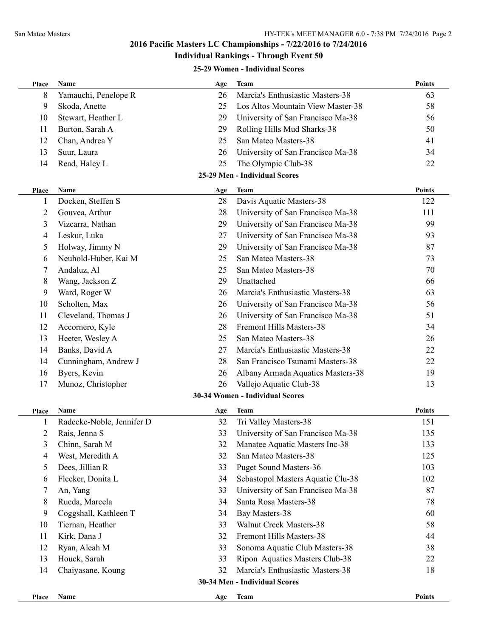# **Individual Rankings - Through Event 50**

#### **25-29 Women - Individual Scores**

| Place | Name                      | Age | Team                              | <b>Points</b> |
|-------|---------------------------|-----|-----------------------------------|---------------|
| 8     | Yamauchi, Penelope R      | 26  | Marcia's Enthusiastic Masters-38  | 63            |
| 9     | Skoda, Anette             | 25  | Los Altos Mountain View Master-38 | 58            |
| 10    | Stewart, Heather L        | 29  | University of San Francisco Ma-38 | 56            |
| 11    | Burton, Sarah A           | 29  | Rolling Hills Mud Sharks-38       | 50            |
| 12    | Chan, Andrea Y            | 25  | San Mateo Masters-38              | 41            |
| 13    | Suur, Laura               | 26  | University of San Francisco Ma-38 | 34            |
| 14    | Read, Haley L             | 25  | The Olympic Club-38               | 22            |
|       |                           |     | 25-29 Men - Individual Scores     |               |
| Place | Name                      | Age | Team                              | <b>Points</b> |
| 1     | Docken, Steffen S         | 28  | Davis Aquatic Masters-38          | 122           |
| 2     | Gouvea, Arthur            | 28  | University of San Francisco Ma-38 | 111           |
| 3     | Vizcarra, Nathan          | 29  | University of San Francisco Ma-38 | 99            |
| 4     | Leskur, Luka              | 27  | University of San Francisco Ma-38 | 93            |
| 5     | Holway, Jimmy N           | 29  | University of San Francisco Ma-38 | 87            |
| 6     | Neuhold-Huber, Kai M      | 25  | San Mateo Masters-38              | 73            |
| 7     | Andaluz, Al               | 25  | San Mateo Masters-38              | 70            |
| 8     | Wang, Jackson Z           | 29  | Unattached                        | 66            |
| 9     | Ward, Roger W             | 26  | Marcia's Enthusiastic Masters-38  | 63            |
| 10    | Scholten, Max             | 26  | University of San Francisco Ma-38 | 56            |
| 11    | Cleveland, Thomas J       | 26  | University of San Francisco Ma-38 | 51            |
| 12    | Accornero, Kyle           | 28  | Fremont Hills Masters-38          | 34            |
| 13    | Heeter, Wesley A          | 25  | San Mateo Masters-38              | 26            |
| 14    | Banks, David A            | 27  | Marcia's Enthusiastic Masters-38  | 22            |
| 14    | Cunningham, Andrew J      | 28  | San Francisco Tsunami Masters-38  | 22            |
| 16    | Byers, Kevin              | 26  | Albany Armada Aquatics Masters-38 | 19            |
| 17    | Munoz, Christopher        | 26  | Vallejo Aquatic Club-38           | 13            |
|       |                           |     | 30-34 Women - Individual Scores   |               |
| Place | Name                      | Age | <b>Team</b>                       | <b>Points</b> |
| 1     | Radecke-Noble, Jennifer D | 32  | Tri Valley Masters-38             | 151           |
| 2     | Rais, Jenna S             | 33  | University of San Francisco Ma-38 | 135           |
| 3     | Chinn, Sarah M            | 32  | Manatee Aquatic Masters Inc-38    | 133           |
| 4     | West, Meredith A          | 32  | San Mateo Masters-38              | 125           |
| 5     | Dees, Jillian R           | 33  | <b>Puget Sound Masters-36</b>     | 103           |
| 6     | Flecker, Donita L         | 34  | Sebastopol Masters Aquatic Clu-38 | 102           |
| 7     | An, Yang                  | 33  | University of San Francisco Ma-38 | 87            |
| 8     | Rueda, Marcela            | 34  | Santa Rosa Masters-38             | 78            |
| 9     | Coggshall, Kathleen T     | 34  | Bay Masters-38                    | 60            |
| 10    | Tiernan, Heather          | 33  | Walnut Creek Masters-38           | 58            |
| 11    | Kirk, Dana J              | 32  | Fremont Hills Masters-38          | 44            |
| 12    | Ryan, Aleah M             | 33  | Sonoma Aquatic Club Masters-38    | 38            |
| 13    | Houck, Sarah              | 33  | Ripon Aquatics Masters Club-38    | 22            |
| 14    | Chaiyasane, Koung         | 32  | Marcia's Enthusiastic Masters-38  | 18            |
|       |                           |     | 30-34 Men - Individual Scores     |               |
| Place | Name                      | Age | <b>Team</b>                       | Points        |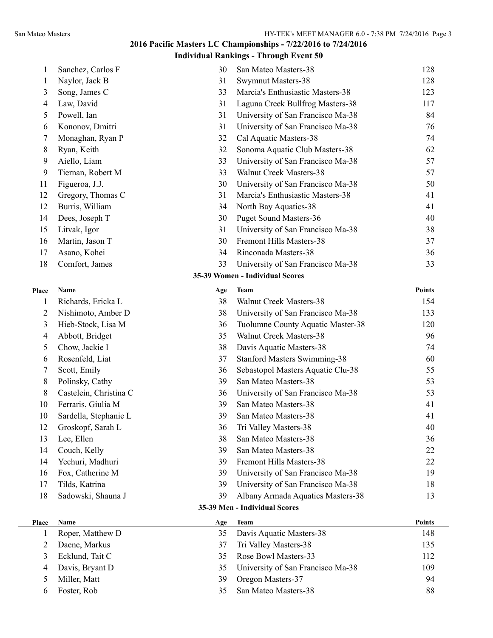**Individual Rankings - Through Event 50**

| 1            | Sanchez, Carlos F      | 30  | San Mateo Masters-38                | 128           |
|--------------|------------------------|-----|-------------------------------------|---------------|
| 1            | Naylor, Jack B         | 31  | <b>Swymnut Masters-38</b>           | 128           |
| 3            | Song, James C          | 33  | Marcia's Enthusiastic Masters-38    | 123           |
| 4            | Law, David             | 31  | Laguna Creek Bullfrog Masters-38    | 117           |
| 5            | Powell, Ian            | 31  | University of San Francisco Ma-38   | 84            |
| 6            | Kononov, Dmitri        | 31  | University of San Francisco Ma-38   | 76            |
| 7            | Monaghan, Ryan P       | 32  | Cal Aquatic Masters-38              | 74            |
| 8            | Ryan, Keith            | 32  | Sonoma Aquatic Club Masters-38      | 62            |
| 9            | Aiello, Liam           | 33  | University of San Francisco Ma-38   | 57            |
| 9            | Tiernan, Robert M      | 33  | <b>Walnut Creek Masters-38</b>      | 57            |
| 11           | Figueroa, J.J.         | 30  | University of San Francisco Ma-38   | 50            |
| 12           | Gregory, Thomas C      | 31  | Marcia's Enthusiastic Masters-38    | 41            |
| 12           | Burris, William        | 34  | North Bay Aquatics-38               | 41            |
| 14           | Dees, Joseph T         | 30  | <b>Puget Sound Masters-36</b>       | 40            |
| 15           | Litvak, Igor           | 31  | University of San Francisco Ma-38   | 38            |
| 16           | Martin, Jason T        | 30  | Fremont Hills Masters-38            | 37            |
| 17           | Asano, Kohei           | 34  | Rinconada Masters-38                | 36            |
| 18           | Comfort, James         | 33  | University of San Francisco Ma-38   | 33            |
|              |                        |     | 35-39 Women - Individual Scores     |               |
| Place        | Name                   | Age | <b>Team</b>                         | <b>Points</b> |
| $\mathbf{1}$ | Richards, Ericka L     | 38  | <b>Walnut Creek Masters-38</b>      | 154           |
| 2            | Nishimoto, Amber D     | 38  | University of San Francisco Ma-38   | 133           |
| 3            | Hieb-Stock, Lisa M     | 36  | Tuolumne County Aquatic Master-38   | 120           |
| 4            | Abbott, Bridget        | 35  | <b>Walnut Creek Masters-38</b>      | 96            |
| 5            | Chow, Jackie I         | 38  | Davis Aquatic Masters-38            | 74            |
| 6            | Rosenfeld, Liat        | 37  | <b>Stanford Masters Swimming-38</b> | 60            |
| 7            | Scott, Emily           | 36  | Sebastopol Masters Aquatic Clu-38   | 55            |
| 8            | Polinsky, Cathy        | 39  | San Mateo Masters-38                | 53            |
| 8            | Castelein, Christina C | 36  | University of San Francisco Ma-38   | 53            |
| 10           | Ferraris, Giulia M     | 39  | San Mateo Masters-38                | 41            |
| 10           | Sardella, Stephanie L  | 39  | San Mateo Masters-38                | 41            |
| 12           | Groskopf, Sarah L      | 36  | Tri Valley Masters-38               | 40            |
| 13           | Lee, Ellen             | 38  | San Mateo Masters-38                | 36            |
| 14           | Couch, Kelly           | 39  | San Mateo Masters-38                | 22            |
| 14           | Yechuri, Madhuri       | 39  | Fremont Hills Masters-38            | 22            |
| 16           | Fox, Catherine M       | 39  | University of San Francisco Ma-38   | 19            |
| 17           | Tilds, Katrina         | 39  | University of San Francisco Ma-38   | 18            |
| 18           | Sadowski, Shauna J     | 39  | Albany Armada Aquatics Masters-38   | 13            |
|              |                        |     | 35-39 Men - Individual Scores       |               |
| Place        | Name                   | Age | <b>Team</b>                         | <b>Points</b> |
| 1            | Roper, Matthew D       | 35  | Davis Aquatic Masters-38            | 148           |
| 2            | Daene, Markus          | 37  | Tri Valley Masters-38               | 135           |
| 3            | Ecklund, Tait C        | 35  | Rose Bowl Masters-33                | 112           |
| 4            | Davis, Bryant D        | 35  | University of San Francisco Ma-38   | 109           |
|              |                        |     |                                     |               |
| 5            | Miller, Matt           | 39  | Oregon Masters-37                   | 94            |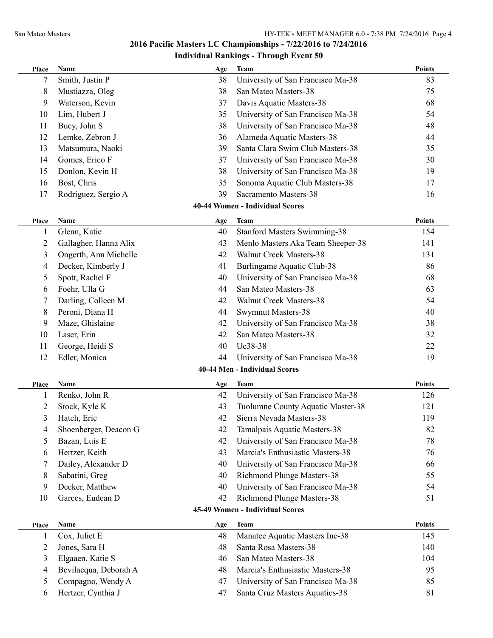| <b>Place</b>   | Name                  | Age | Team                                | <b>Points</b> |
|----------------|-----------------------|-----|-------------------------------------|---------------|
| 7              | Smith, Justin P       | 38  | University of San Francisco Ma-38   | 83            |
| 8              | Mustiazza, Oleg       | 38  | San Mateo Masters-38                | 75            |
| 9              | Waterson, Kevin       | 37  | Davis Aquatic Masters-38            | 68            |
| 10             | Lim, Hubert J         | 35  | University of San Francisco Ma-38   | 54            |
| 11             | Bucy, John S          | 38  | University of San Francisco Ma-38   | 48            |
| 12             | Lemke, Zebron J       | 36  | Alameda Aquatic Masters-38          | 44            |
| 13             | Matsumura, Naoki      | 39  | Santa Clara Swim Club Masters-38    | 35            |
| 14             | Gomes, Erico F        | 37  | University of San Francisco Ma-38   | 30            |
| 15             | Donlon, Kevin H       | 38  | University of San Francisco Ma-38   | 19            |
| 16             | Bost, Chris           | 35  | Sonoma Aquatic Club Masters-38      | 17            |
| 17             | Rodriguez, Sergio A   | 39  | Sacramento Masters-38               | 16            |
|                |                       |     | 40-44 Women - Individual Scores     |               |
| Place          | Name                  | Age | Team                                | <b>Points</b> |
| 1              | Glenn, Katie          | 40  | <b>Stanford Masters Swimming-38</b> | 154           |
| 2              | Gallagher, Hanna Alix | 43  | Menlo Masters Aka Team Sheeper-38   | 141           |
| 3              | Ongerth, Ann Michelle | 42  | <b>Walnut Creek Masters-38</b>      | 131           |
| 4              | Decker, Kimberly J    | 41  | Burlingame Aquatic Club-38          | 86            |
| 5              | Spott, Rachel F       | 40  | University of San Francisco Ma-38   | 68            |
| 6              | Foehr, Ulla G         | 44  | San Mateo Masters-38                | 63            |
| 7              | Darling, Colleen M    | 42  | Walnut Creek Masters-38             | 54            |
| 8              | Peroni, Diana H       | 44  | Swymnut Masters-38                  | 40            |
| 9              | Maze, Ghislaine       | 42  | University of San Francisco Ma-38   | 38            |
| 10             | Laser, Erin           | 42  | San Mateo Masters-38                | 32            |
| 11             | George, Heidi S       | 40  | Uc38-38                             | 22            |
| 12             | Edler, Monica         | 44  | University of San Francisco Ma-38   | 19            |
|                |                       |     | 40-44 Men - Individual Scores       |               |
|                |                       |     |                                     |               |
| <b>Place</b>   | Name                  | Age | Team                                | <b>Points</b> |
| 1              | Renko, John R         | 42  | University of San Francisco Ma-38   | 126           |
| $\overline{c}$ | Stock, Kyle K         | 43  | Tuolumne County Aquatic Master-38   | 121           |
| 3              | Hatch, Eric           | 42  | Sierra Nevada Masters-38            | 119           |
| 4              | Shoenberger, Deacon G | 42  | Tamalpais Aquatic Masters-38        | 82            |
| 5              | Bazan, Luis E         | 42  | University of San Francisco Ma-38   | 78            |
| 6              | Hertzer, Keith        | 43  | Marcia's Enthusiastic Masters-38    | 76            |
| 7              | Dailey, Alexander D   | 40  | University of San Francisco Ma-38   | 66            |
| 8              | Sabatini, Greg        | 40  | Richmond Plunge Masters-38          | 55            |
| 9              | Decker, Matthew       | 40  | University of San Francisco Ma-38   | 54            |
| 10             | Garces, Eudean D      | 42  | Richmond Plunge Masters-38          | 51            |
|                |                       |     | 45-49 Women - Individual Scores     |               |
| Place          | Name                  | Age | <b>Team</b>                         | <b>Points</b> |
| 1              | Cox, Juliet E         | 48  | Manatee Aquatic Masters Inc-38      | 145           |
| $\overline{c}$ | Jones, Sara H         | 48  | Santa Rosa Masters-38               | 140           |
| 3              | Elgaaen, Katie S      | 46  | San Mateo Masters-38                | 104           |
| 4              | Bevilacqua, Deborah A | 48  | Marcia's Enthusiastic Masters-38    | 95            |
| 5              | Compagno, Wendy A     | 47  | University of San Francisco Ma-38   | 85            |
| 6              | Hertzer, Cynthia J    | 47  | Santa Cruz Masters Aquatics-38      | 81            |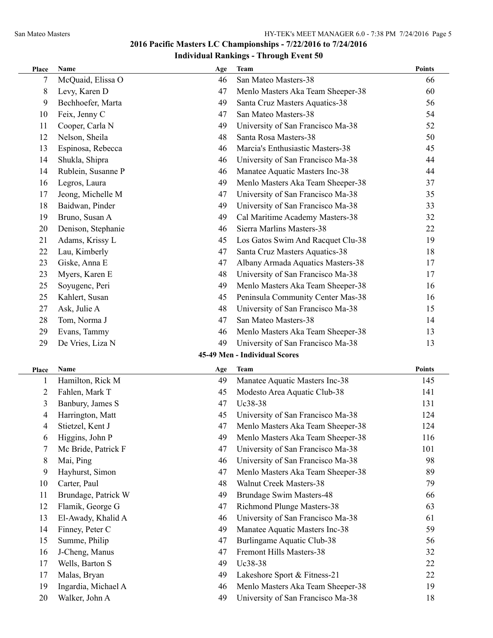| Place          | Name                | Age | <b>Team</b>                       | <b>Points</b> |
|----------------|---------------------|-----|-----------------------------------|---------------|
| 7              | McQuaid, Elissa O   | 46  | San Mateo Masters-38              | 66            |
| 8              | Levy, Karen D       | 47  | Menlo Masters Aka Team Sheeper-38 | 60            |
| 9              | Bechhoefer, Marta   | 49  | Santa Cruz Masters Aquatics-38    | 56            |
| 10             | Feix, Jenny C       | 47  | San Mateo Masters-38              | 54            |
| 11             | Cooper, Carla N     | 49  | University of San Francisco Ma-38 | 52            |
| 12             | Nelson, Sheila      | 48  | Santa Rosa Masters-38             | 50            |
| 13             | Espinosa, Rebecca   | 46  | Marcia's Enthusiastic Masters-38  | 45            |
| 14             | Shukla, Shipra      | 46  | University of San Francisco Ma-38 | 44            |
| 14             | Rublein, Susanne P  | 46  | Manatee Aquatic Masters Inc-38    | 44            |
| 16             | Legros, Laura       | 49  | Menlo Masters Aka Team Sheeper-38 | 37            |
| 17             | Jeong, Michelle M   | 47  | University of San Francisco Ma-38 | 35            |
| 18             | Baidwan, Pinder     | 49  | University of San Francisco Ma-38 | 33            |
| 19             | Bruno, Susan A      | 49  | Cal Maritime Academy Masters-38   | 32            |
| 20             | Denison, Stephanie  | 46  | Sierra Marlins Masters-38         | 22            |
| 21             | Adams, Krissy L     | 45  | Los Gatos Swim And Racquet Clu-38 | 19            |
| 22             | Lau, Kimberly       | 47  | Santa Cruz Masters Aquatics-38    | 18            |
| 23             | Giske, Anna E       | 47  | Albany Armada Aquatics Masters-38 | 17            |
| 23             | Myers, Karen E      | 48  | University of San Francisco Ma-38 | 17            |
| 25             | Soyugenc, Peri      | 49  | Menlo Masters Aka Team Sheeper-38 | 16            |
| 25             | Kahlert, Susan      | 45  | Peninsula Community Center Mas-38 | 16            |
| 27             | Ask, Julie A        | 48  | University of San Francisco Ma-38 | 15            |
| 28             | Tom, Norma J        | 47  | San Mateo Masters-38              | 14            |
| 29             | Evans, Tammy        | 46  | Menlo Masters Aka Team Sheeper-38 | 13            |
| 29             | De Vries, Liza N    | 49  | University of San Francisco Ma-38 | 13            |
|                |                     |     | 45-49 Men - Individual Scores     |               |
| <b>Place</b>   | Name                | Age | Team                              | <b>Points</b> |
| 1              | Hamilton, Rick M    | 49  | Manatee Aquatic Masters Inc-38    | 145           |
| $\overline{c}$ | Fahlen, Mark T      | 45  | Modesto Area Aquatic Club-38      | 141           |
| 3              | Banbury, James S    | 47  | Uc38-38                           | 131           |
| 4              | Harrington, Matt    | 45  | University of San Francisco Ma-38 | 124           |
| 4              | Stietzel, Kent J    | 47  | Menlo Masters Aka Team Sheeper-38 | 124           |
| 6              | Higgins, John P     | 49  | Menlo Masters Aka Team Sheeper-38 | 116           |
| 7              | Mc Bride, Patrick F | 47  | University of San Francisco Ma-38 | 101           |
| 8              | Mai, Ping           | 46  | University of San Francisco Ma-38 | 98            |
| 9              | Hayhurst, Simon     | 47  | Menlo Masters Aka Team Sheeper-38 | 89            |
| 10             | Carter, Paul        | 48  | <b>Walnut Creek Masters-38</b>    | 79            |
| 11             | Brundage, Patrick W | 49  | <b>Brundage Swim Masters-48</b>   | 66            |
| 12             | Flamik, George G    | 47  | Richmond Plunge Masters-38        | 63            |
| 13             | El-Awady, Khalid A  | 46  | University of San Francisco Ma-38 | 61            |
| 14             | Finney, Peter C     | 49  | Manatee Aquatic Masters Inc-38    | 59            |
| 15             | Summe, Philip       | 47  | <b>Burlingame Aquatic Club-38</b> | 56            |
| 16             | J-Cheng, Manus      | 47  | Fremont Hills Masters-38          | 32            |
| 17             | Wells, Barton S     | 49  | Uc38-38                           | 22            |
| 17             | Malas, Bryan        | 49  | Lakeshore Sport & Fitness-21      | 22            |
| 19             | Ingardia, Michael A | 46  | Menlo Masters Aka Team Sheeper-38 | 19            |
| 20             | Walker, John A      | 49  | University of San Francisco Ma-38 | 18            |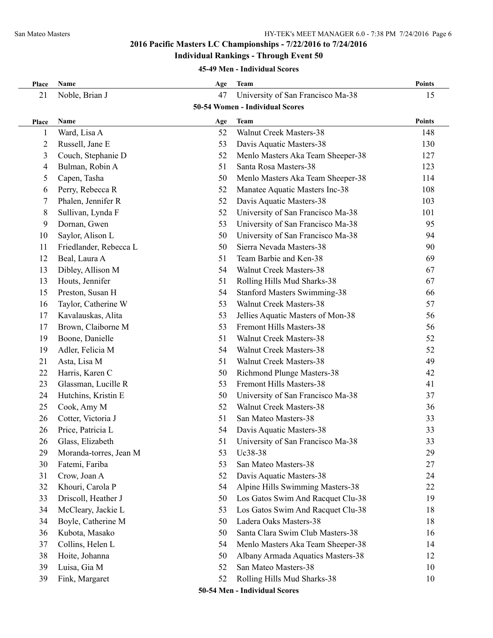#### **Individual Rankings - Through Event 50**

#### **45-49 Men - Individual Scores**

| Place          | Name                   | Age | <b>Team</b>                         | Points        |
|----------------|------------------------|-----|-------------------------------------|---------------|
| 21             | Noble, Brian J         | 47  | University of San Francisco Ma-38   | 15            |
|                |                        |     | 50-54 Women - Individual Scores     |               |
| Place          | Name                   | Age | <b>Team</b>                         | <b>Points</b> |
| 1              | Ward, Lisa A           | 52  | <b>Walnut Creek Masters-38</b>      | 148           |
| $\overline{c}$ | Russell, Jane E        | 53  | Davis Aquatic Masters-38            | 130           |
| 3              | Couch, Stephanie D     | 52  | Menlo Masters Aka Team Sheeper-38   | 127           |
| 4              | Bulman, Robin A        | 51  | Santa Rosa Masters-38               | 123           |
| 5              | Capen, Tasha           | 50  | Menlo Masters Aka Team Sheeper-38   | 114           |
| 6              | Perry, Rebecca R       | 52  | Manatee Aquatic Masters Inc-38      | 108           |
| 7              | Phalen, Jennifer R     | 52  | Davis Aquatic Masters-38            | 103           |
| 8              | Sullivan, Lynda F      | 52  | University of San Francisco Ma-38   | 101           |
| 9              | Dornan, Gwen           | 53  | University of San Francisco Ma-38   | 95            |
| 10             | Saylor, Alison L       | 50  | University of San Francisco Ma-38   | 94            |
| 11             | Friedlander, Rebecca L | 50  | Sierra Nevada Masters-38            | 90            |
| 12             | Beal, Laura A          | 51  | Team Barbie and Ken-38              | 69            |
| 13             | Dibley, Allison M      | 54  | <b>Walnut Creek Masters-38</b>      | 67            |
| 13             | Houts, Jennifer        | 51  | Rolling Hills Mud Sharks-38         | 67            |
| 15             | Preston, Susan H       | 54  | <b>Stanford Masters Swimming-38</b> | 66            |
| 16             | Taylor, Catherine W    | 53  | <b>Walnut Creek Masters-38</b>      | 57            |
| 17             | Kavalauskas, Alita     | 53  | Jellies Aquatic Masters of Mon-38   | 56            |
| 17             | Brown, Claiborne M     | 53  | Fremont Hills Masters-38            | 56            |
| 19             | Boone, Danielle        | 51  | Walnut Creek Masters-38             | 52            |
| 19             | Adler, Felicia M       | 54  | Walnut Creek Masters-38             | 52            |
| 21             | Asta, Lisa M           | 51  | Walnut Creek Masters-38             | 49            |
| 22             | Harris, Karen C        | 50  | Richmond Plunge Masters-38          | 42            |
| 23             | Glassman, Lucille R    | 53  | Fremont Hills Masters-38            | 41            |
| 24             | Hutchins, Kristin E    | 50  | University of San Francisco Ma-38   | 37            |
| 25             | Cook, Amy M            | 52  | <b>Walnut Creek Masters-38</b>      | 36            |
| 26             | Cotter, Victoria J     | 51  | San Mateo Masters-38                | 33            |
| 26             | Price, Patricia L      | 54  | Davis Aquatic Masters-38            | 33            |
| 26             | Glass, Elizabeth       | 51  | University of San Francisco Ma-38   | 33            |
| 29             | Moranda-torres, Jean M | 53  | Uc38-38                             | 29            |
| 30             | Fatemi, Fariba         | 53  | San Mateo Masters-38                | 27            |
| 31             | Crow, Joan A           | 52  | Davis Aquatic Masters-38            | 24            |
| 32             | Khouri, Carola P       | 54  | Alpine Hills Swimming Masters-38    | 22            |
| 33             | Driscoll, Heather J    | 50  | Los Gatos Swim And Racquet Clu-38   | 19            |
| 34             | McCleary, Jackie L     | 53  | Los Gatos Swim And Racquet Clu-38   | 18            |
| 34             | Boyle, Catherine M     | 50  | Ladera Oaks Masters-38              | 18            |
| 36             | Kubota, Masako         | 50  | Santa Clara Swim Club Masters-38    | 16            |
| 37             | Collins, Helen L       | 54  | Menlo Masters Aka Team Sheeper-38   | 14            |
| 38             | Hoite, Johanna         | 50  | Albany Armada Aquatics Masters-38   | 12            |
| 39             | Luisa, Gia M           | 52  | San Mateo Masters-38                | 10            |
| 39             | Fink, Margaret         | 52  | Rolling Hills Mud Sharks-38         | 10            |
|                |                        |     |                                     |               |

**50-54 Men - Individual Scores**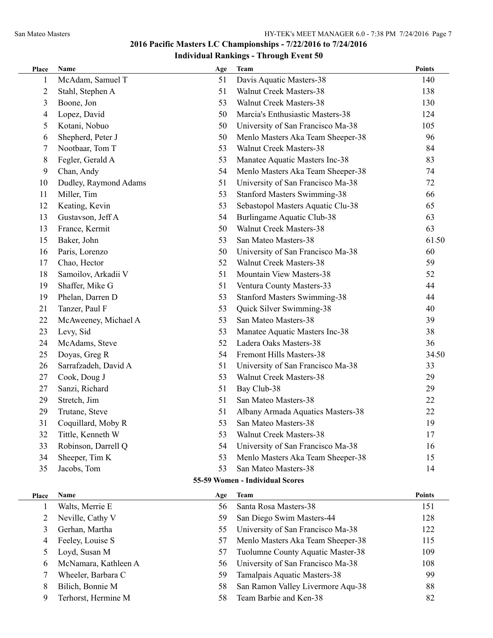| Place          | Name                  | Age | Team                                | <b>Points</b> |
|----------------|-----------------------|-----|-------------------------------------|---------------|
| 1              | McAdam, Samuel T      | 51  | Davis Aquatic Masters-38            | 140           |
| $\overline{2}$ | Stahl, Stephen A      | 51  | <b>Walnut Creek Masters-38</b>      | 138           |
| 3              | Boone, Jon            | 53  | Walnut Creek Masters-38             | 130           |
| 4              | Lopez, David          | 50  | Marcia's Enthusiastic Masters-38    | 124           |
| 5              | Kotani, Nobuo         | 50  | University of San Francisco Ma-38   | 105           |
| 6              | Shepherd, Peter J     | 50  | Menlo Masters Aka Team Sheeper-38   | 96            |
| 7              | Nootbaar, Tom T       | 53  | Walnut Creek Masters-38             | 84            |
| 8              | Fegler, Gerald A      | 53  | Manatee Aquatic Masters Inc-38      | 83            |
| 9              | Chan, Andy            | 54  | Menlo Masters Aka Team Sheeper-38   | 74            |
| 10             | Dudley, Raymond Adams | 51  | University of San Francisco Ma-38   | 72            |
| 11             | Miller, Tim           | 53  | <b>Stanford Masters Swimming-38</b> | 66            |
| 12             | Keating, Kevin        | 53  | Sebastopol Masters Aquatic Clu-38   | 65            |
| 13             | Gustavson, Jeff A     | 54  | Burlingame Aquatic Club-38          | 63            |
| 13             | France, Kermit        | 50  | <b>Walnut Creek Masters-38</b>      | 63            |
| 15             | Baker, John           | 53  | San Mateo Masters-38                | 61.50         |
| 16             | Paris, Lorenzo        | 50  | University of San Francisco Ma-38   | 60            |
| 17             | Chao, Hector          | 52  | <b>Walnut Creek Masters-38</b>      | 59            |
| 18             | Samoilov, Arkadii V   | 51  | Mountain View Masters-38            | 52            |
| 19             | Shaffer, Mike G       | 51  | Ventura County Masters-33           | 44            |
| 19             | Phelan, Darren D      | 53  | <b>Stanford Masters Swimming-38</b> | 44            |
| 21             | Tanzer, Paul F        | 53  | Quick Silver Swimming-38            | 40            |
| 22             | McAweeney, Michael A  | 53  | San Mateo Masters-38                | 39            |
| 23             | Levy, Sid             | 53  | Manatee Aquatic Masters Inc-38      | 38            |
| 24             | McAdams, Steve        | 52  | Ladera Oaks Masters-38              | 36            |
| 25             | Doyas, Greg R         | 54  | Fremont Hills Masters-38            | 34.50         |
| 26             | Sarrafzadeh, David A  | 51  | University of San Francisco Ma-38   | 33            |
| 27             | Cook, Doug J          | 53  | <b>Walnut Creek Masters-38</b>      | 29            |
| 27             | Sanzi, Richard        | 51  | Bay Club-38                         | 29            |
| 29             | Stretch, Jim          | 51  | San Mateo Masters-38                | 22            |
| 29             | Trutane, Steve        | 51  | Albany Armada Aquatics Masters-38   | 22            |
| 31             | Coquillard, Moby R    | 53  | San Mateo Masters-38                | 19            |
| 32             | Tittle, Kenneth W     | 53  | <b>Walnut Creek Masters-38</b>      | 17            |
| 33             | Robinson, Darrell Q   | 54  | University of San Francisco Ma-38   | 16            |
| 34             | Sheeper, Tim K        | 53  | Menlo Masters Aka Team Sheeper-38   | 15            |
| 35             | Jacobs, Tom           | 53  | San Mateo Masters-38                | 14            |
|                |                       |     | 55-59 Women - Individual Scores     |               |
| Place          | <b>Name</b>           | Age | <b>Team</b>                         | <b>Points</b> |
| 1              | Walts, Merrie E       | 56  | Santa Rosa Masters-38               | 151           |
| $\overline{c}$ | Neville, Cathy V      | 59  | San Diego Swim Masters-44           | 128           |
| 3              | Gerhan, Martha        | 55  | University of San Francisco Ma-38   | 122           |
| 4              | Feeley, Louise S      | 57  | Menlo Masters Aka Team Sheeper-38   | 115           |
| 5              | Loyd, Susan M         | 57  | Tuolumne County Aquatic Master-38   | 109           |
| 6              | McNamara, Kathleen A  | 56  | University of San Francisco Ma-38   | 108           |
| 7              | Wheeler, Barbara C    | 59  | Tamalpais Aquatic Masters-38        | 99            |
| 8              | Bilich, Bonnie M      | 58  | San Ramon Valley Livermore Aqu-38   | 88            |
| 9              | Terhorst, Hermine M   | 58  | Team Barbie and Ken-38              | 82            |
|                |                       |     |                                     |               |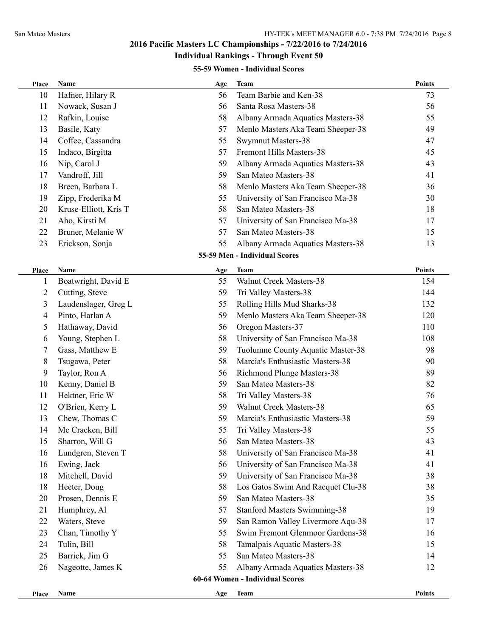# **Individual Rankings - Through Event 50**

#### **55-59 Women - Individual Scores**

| Place        | <b>Name</b>           | Age | Team                                | <b>Points</b> |
|--------------|-----------------------|-----|-------------------------------------|---------------|
| 10           | Hafner, Hilary R      | 56  | Team Barbie and Ken-38              | 73            |
| 11           | Nowack, Susan J       | 56  | Santa Rosa Masters-38               | 56            |
| 12           | Rafkin, Louise        | 58  | Albany Armada Aquatics Masters-38   | 55            |
| 13           | Basile, Katy          | 57  | Menlo Masters Aka Team Sheeper-38   | 49            |
| 14           | Coffee, Cassandra     | 55  | Swymnut Masters-38                  | 47            |
| 15           | Indaco, Birgitta      | 57  | Fremont Hills Masters-38            | 45            |
| 16           | Nip, Carol J          | 59  | Albany Armada Aquatics Masters-38   | 43            |
| 17           | Vandroff, Jill        | 59  | San Mateo Masters-38                | 41            |
| 18           | Breen, Barbara L      | 58  | Menlo Masters Aka Team Sheeper-38   | 36            |
| 19           | Zipp, Frederika M     | 55  | University of San Francisco Ma-38   | 30            |
| 20           | Kruse-Elliott, Kris T | 58  | San Mateo Masters-38                | 18            |
| 21           | Aho, Kirsti M         | 57  | University of San Francisco Ma-38   | 17            |
| 22           | Bruner, Melanie W     | 57  | San Mateo Masters-38                | 15            |
| 23           | Erickson, Sonja       | 55  | Albany Armada Aquatics Masters-38   | 13            |
|              |                       |     | 55-59 Men - Individual Scores       |               |
| <b>Place</b> | Name                  | Age | <b>Team</b>                         | <b>Points</b> |
|              | Boatwright, David E   | 55  | Walnut Creek Masters-38             | 154           |
| 2            | Cutting, Steve        | 59  | Tri Valley Masters-38               | 144           |
| 3            | Laudenslager, Greg L  | 55  | Rolling Hills Mud Sharks-38         | 132           |
| 4            | Pinto, Harlan A       | 59  | Menlo Masters Aka Team Sheeper-38   | 120           |
| 5            | Hathaway, David       | 56  | Oregon Masters-37                   | 110           |
| 6            | Young, Stephen L      | 58  | University of San Francisco Ma-38   | 108           |
| 7            | Gass, Matthew E       | 59  | Tuolumne County Aquatic Master-38   | 98            |
| 8            | Tsugawa, Peter        | 58  | Marcia's Enthusiastic Masters-38    | 90            |
| 9            | Taylor, Ron A         | 56  | <b>Richmond Plunge Masters-38</b>   | 89            |
| 10           | Kenny, Daniel B       | 59  | San Mateo Masters-38                | 82            |
| 11           | Hektner, Eric W       | 58  | Tri Valley Masters-38               | 76            |
| 12           | O'Brien, Kerry L      | 59  | <b>Walnut Creek Masters-38</b>      | 65            |
| 13           | Chew, Thomas C        | 59  | Marcia's Enthusiastic Masters-38    | 59            |
| 14           | Mc Cracken, Bill      | 55  | Tri Valley Masters-38               | 55            |
| 15           | Sharron, Will G       | 56  | San Mateo Masters-38                | 43            |
| 16           | Lundgren, Steven T    | 58  | University of San Francisco Ma-38   | 41            |
| 16           | Ewing, Jack           | 56  | University of San Francisco Ma-38   | 41            |
| 18           | Mitchell, David       | 59  | University of San Francisco Ma-38   | 38            |
| 18           | Heeter, Doug          | 58  | Los Gatos Swim And Racquet Clu-38   | 38            |
| 20           | Prosen, Dennis E      | 59  | San Mateo Masters-38                | 35            |
| 21           | Humphrey, Al          | 57  | <b>Stanford Masters Swimming-38</b> | 19            |
| 22           | Waters, Steve         | 59  | San Ramon Valley Livermore Aqu-38   | 17            |
| 23           | Chan, Timothy Y       | 55  | Swim Fremont Glenmoor Gardens-38    | 16            |
| 24           | Tulin, Bill           | 58  | Tamalpais Aquatic Masters-38        | 15            |
| 25           | Barrick, Jim G        | 55  | San Mateo Masters-38                | 14            |
| 26           | Nageotte, James K     | 55  | Albany Armada Aquatics Masters-38   | 12            |
|              |                       |     | 60-64 Women - Individual Scores     |               |
| Place        | Name                  | Age | Team                                | <b>Points</b> |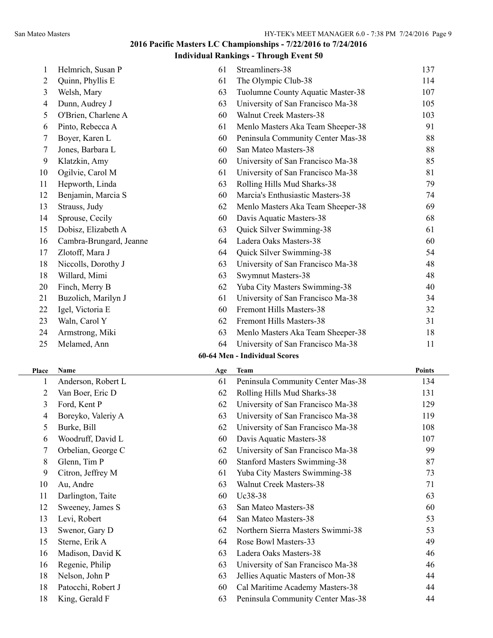|                         |                         |     | $\cdots$                            |               |
|-------------------------|-------------------------|-----|-------------------------------------|---------------|
| 1                       | Helmrich, Susan P       | 61  | Streamliners-38                     | 137           |
| 2                       | Quinn, Phyllis E        | 61  | The Olympic Club-38                 | 114           |
| 3                       | Welsh, Mary             | 63  | Tuolumne County Aquatic Master-38   | 107           |
| 4                       | Dunn, Audrey J          | 63  | University of San Francisco Ma-38   | 105           |
| 5                       | O'Brien, Charlene A     | 60  | Walnut Creek Masters-38             | 103           |
| 6                       | Pinto, Rebecca A        | 61  | Menlo Masters Aka Team Sheeper-38   | 91            |
| 7                       | Boyer, Karen L          | 60  | Peninsula Community Center Mas-38   | 88            |
| 7                       | Jones, Barbara L        | 60  | San Mateo Masters-38                | 88            |
| 9                       | Klatzkin, Amy           | 60  | University of San Francisco Ma-38   | 85            |
| 10                      | Ogilvie, Carol M        | 61  | University of San Francisco Ma-38   | 81            |
| 11                      | Hepworth, Linda         | 63  | Rolling Hills Mud Sharks-38         | 79            |
| 12                      | Benjamin, Marcia S      | 60  | Marcia's Enthusiastic Masters-38    | 74            |
| 13                      | Strauss, Judy           | 62  | Menlo Masters Aka Team Sheeper-38   | 69            |
| 14                      | Sprouse, Cecily         | 60  | Davis Aquatic Masters-38            | 68            |
| 15                      | Dobisz, Elizabeth A     | 63  | Quick Silver Swimming-38            | 61            |
| 16                      | Cambra-Brungard, Jeanne | 64  | Ladera Oaks Masters-38              | 60            |
| 17                      | Zlotoff, Mara J         | 64  | Quick Silver Swimming-38            | 54            |
| 18                      | Niccolls, Dorothy J     | 63  | University of San Francisco Ma-38   | 48            |
| 18                      | Willard, Mimi           | 63  | <b>Swymnut Masters-38</b>           | 48            |
| 20                      | Finch, Merry B          | 62  | Yuba City Masters Swimming-38       | 40            |
| 21                      | Buzolich, Marilyn J     | 61  | University of San Francisco Ma-38   | 34            |
| 22                      | Igel, Victoria E        | 60  | Fremont Hills Masters-38            | 32            |
| 23                      | Waln, Carol Y           | 62  | Fremont Hills Masters-38            | 31            |
| 24                      | Armstrong, Miki         | 63  | Menlo Masters Aka Team Sheeper-38   | 18            |
| 25                      | Melamed, Ann            | 64  | University of San Francisco Ma-38   | 11            |
|                         |                         |     | 60-64 Men - Individual Scores       |               |
| Place                   | Name                    | Age | <b>Team</b>                         | <b>Points</b> |
| 1                       | Anderson, Robert L      | 61  | Peninsula Community Center Mas-38   | 134           |
| $\mathbf{2}$            | Van Boer, Eric D        | 62  | Rolling Hills Mud Sharks-38         | 131           |
| $\overline{\mathbf{3}}$ | Ford, Kent P            | 62  | University of San Francisco Ma-38   | 129           |
| 4                       | Boreyko, Valeriy A      | 63  | University of San Francisco Ma-38   | 119           |
| 5                       | Burke, Bill             | 62  | University of San Francisco Ma-38   | 108           |
| 6                       | Woodruff, David L       | 60  | Davis Aquatic Masters-38            | 107           |
| 7                       | Orbelian, George C      | 62  | University of San Francisco Ma-38   | 99            |
| 8                       | Glenn, Tim P            | 60  | <b>Stanford Masters Swimming-38</b> | 87            |
| 9                       | Citron, Jeffrey M       | 61  | Yuba City Masters Swimming-38       | 73            |
| 10                      | Au, Andre               | 63  | Walnut Creek Masters-38             | 71            |
| 11                      | Darlington, Taite       | 60  | Uc38-38                             | 63            |
| 12                      | Sweeney, James S        | 63  | San Mateo Masters-38                | 60            |
| 13                      | Levi, Robert            | 64  | San Mateo Masters-38                | 53            |
| 13                      | Swenor, Gary D          | 62  | Northern Sierra Masters Swimmi-38   | 53            |
| 15                      | Sterne, Erik A          | 64  | Rose Bowl Masters-33                | 49            |
| 16                      | Madison, David K        | 63  | Ladera Oaks Masters-38              | 46            |
| 16                      | Regenie, Philip         | 63  | University of San Francisco Ma-38   | 46            |
| 18                      | Nelson, John P          | 63  | Jellies Aquatic Masters of Mon-38   | 44            |
| 18                      | Patocchi, Robert J      | 60  | Cal Maritime Academy Masters-38     | 44            |
| 18                      | King, Gerald F          | 63  | Peninsula Community Center Mas-38   | 44            |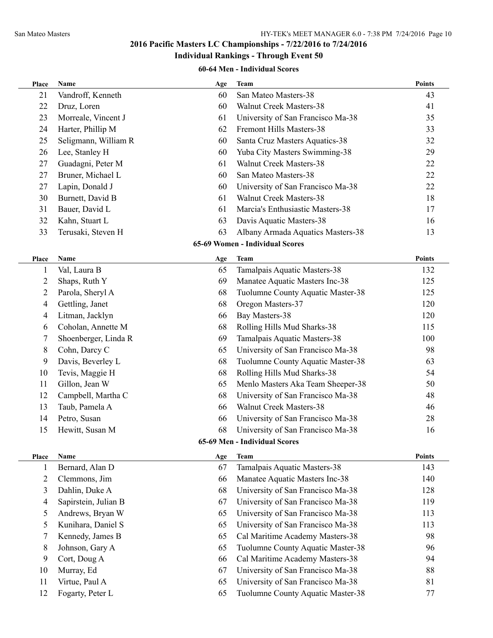#### **Individual Rankings - Through Event 50**

#### **60-64 Men - Individual Scores**

| Place          | Name                 | Age | <b>Team</b>                       | <b>Points</b> |
|----------------|----------------------|-----|-----------------------------------|---------------|
| 21             | Vandroff, Kenneth    | 60  | San Mateo Masters-38              | 43            |
| 22             | Druz, Loren          | 60  | <b>Walnut Creek Masters-38</b>    | 41            |
| 23             | Morreale, Vincent J  | 61  | University of San Francisco Ma-38 | 35            |
| 24             | Harter, Phillip M    | 62  | Fremont Hills Masters-38          | 33            |
| 25             | Seligmann, William R | 60  | Santa Cruz Masters Aquatics-38    | 32            |
| 26             | Lee, Stanley H       | 60  | Yuba City Masters Swimming-38     | 29            |
| 27             | Guadagni, Peter M    | 61  | Walnut Creek Masters-38           | 22            |
| 27             | Bruner, Michael L    | 60  | San Mateo Masters-38              | 22            |
| 27             | Lapin, Donald J      | 60  | University of San Francisco Ma-38 | 22            |
| 30             | Burnett, David B     | 61  | <b>Walnut Creek Masters-38</b>    | 18            |
| 31             | Bauer, David L       | 61  | Marcia's Enthusiastic Masters-38  | 17            |
| 32             | Kahn, Stuart L       | 63  | Davis Aquatic Masters-38          | 16            |
| 33             | Terusaki, Steven H   | 63  | Albany Armada Aquatics Masters-38 | 13            |
|                |                      |     | 65-69 Women - Individual Scores   |               |
| Place          | Name                 | Age | <b>Team</b>                       | <b>Points</b> |
| 1              | Val, Laura B         | 65  | Tamalpais Aquatic Masters-38      | 132           |
| 2              | Shaps, Ruth Y        | 69  | Manatee Aquatic Masters Inc-38    | 125           |
| 2              | Parola, Sheryl A     | 68  | Tuolumne County Aquatic Master-38 | 125           |
| $\overline{4}$ | Gettling, Janet      | 68  | Oregon Masters-37                 | 120           |
| 4              | Litman, Jacklyn      | 66  | Bay Masters-38                    | 120           |
| 6              | Coholan, Annette M   | 68  | Rolling Hills Mud Sharks-38       | 115           |
| 7              | Shoenberger, Linda R | 69  | Tamalpais Aquatic Masters-38      | 100           |
| 8              | Cohn, Darcy C        | 65  | University of San Francisco Ma-38 | 98            |
| 9              | Davis, Beverley L    | 68  | Tuolumne County Aquatic Master-38 | 63            |
| 10             | Tevis, Maggie H      | 68  | Rolling Hills Mud Sharks-38       | 54            |
| 11             | Gillon, Jean W       | 65  | Menlo Masters Aka Team Sheeper-38 | 50            |
| 12             | Campbell, Martha C   | 68  | University of San Francisco Ma-38 | 48            |
| 13             | Taub, Pamela A       | 66  | Walnut Creek Masters-38           | 46            |
| 14             | Petro, Susan         | 66  | University of San Francisco Ma-38 | 28            |
| 15             | Hewitt, Susan M      | 68  | University of San Francisco Ma-38 | 16            |
|                |                      |     | 65-69 Men - Individual Scores     |               |
| Place          | <b>Name</b>          | Age | <b>Team</b>                       | <b>Points</b> |
| $\perp$        | Bernard, Alan D      | 67  | Tamalpais Aquatic Masters-38      | 143           |
| $\overline{c}$ | Clemmons, Jim        | 66  | Manatee Aquatic Masters Inc-38    | 140           |
| 3              | Dahlin, Duke A       | 68  | University of San Francisco Ma-38 | 128           |
| $\overline{4}$ | Sapirstein, Julian B | 67  | University of San Francisco Ma-38 | 119           |
| 5              | Andrews, Bryan W     | 65  | University of San Francisco Ma-38 | 113           |
| 5              | Kunihara, Daniel S   | 65  | University of San Francisco Ma-38 | 113           |
| 7              | Kennedy, James B     | 65  | Cal Maritime Academy Masters-38   | 98            |
| 8              | Johnson, Gary A      | 65  | Tuolumne County Aquatic Master-38 | 96            |
| 9              | Cort, Doug A         | 66  | Cal Maritime Academy Masters-38   | 94            |
| 10             | Murray, Ed           | 67  | University of San Francisco Ma-38 | 88            |
| 11             | Virtue, Paul A       | 65  | University of San Francisco Ma-38 | 81            |
| 12             | Fogarty, Peter L     | 65  | Tuolumne County Aquatic Master-38 | 77            |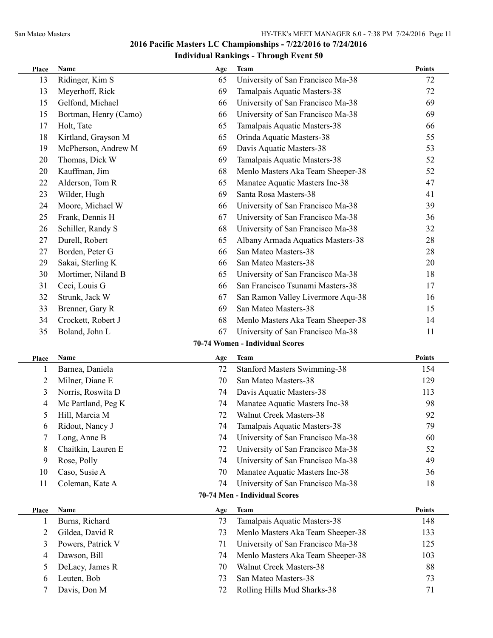| Place          | Name                  | Age | <b>Team</b>                         | <b>Points</b> |
|----------------|-----------------------|-----|-------------------------------------|---------------|
| 13             | Ridinger, Kim S       | 65  | University of San Francisco Ma-38   | 72            |
| 13             | Meyerhoff, Rick       | 69  | Tamalpais Aquatic Masters-38        | 72            |
| 15             | Gelfond, Michael      | 66  | University of San Francisco Ma-38   | 69            |
| 15             | Bortman, Henry (Camo) | 66  | University of San Francisco Ma-38   | 69            |
| 17             | Holt, Tate            | 65  | Tamalpais Aquatic Masters-38        | 66            |
| 18             | Kirtland, Grayson M   | 65  | Orinda Aquatic Masters-38           | 55            |
| 19             | McPherson, Andrew M   | 69  | Davis Aquatic Masters-38            | 53            |
| 20             | Thomas, Dick W        | 69  | Tamalpais Aquatic Masters-38        | 52            |
| 20             | Kauffman, Jim         | 68  | Menlo Masters Aka Team Sheeper-38   | 52            |
| 22             | Alderson, Tom R       | 65  | Manatee Aquatic Masters Inc-38      | 47            |
| 23             | Wilder, Hugh          | 69  | Santa Rosa Masters-38               | 41            |
| 24             | Moore, Michael W      | 66  | University of San Francisco Ma-38   | 39            |
| 25             | Frank, Dennis H       | 67  | University of San Francisco Ma-38   | 36            |
| 26             | Schiller, Randy S     | 68  | University of San Francisco Ma-38   | 32            |
| 27             | Durell, Robert        | 65  | Albany Armada Aquatics Masters-38   | 28            |
| 27             | Borden, Peter G       | 66  | San Mateo Masters-38                | 28            |
| 29             | Sakai, Sterling K     | 66  | San Mateo Masters-38                | 20            |
| 30             | Mortimer, Niland B    | 65  | University of San Francisco Ma-38   | 18            |
| 31             | Ceci, Louis G         | 66  | San Francisco Tsunami Masters-38    | 17            |
| 32             | Strunk, Jack W        | 67  | San Ramon Valley Livermore Aqu-38   | 16            |
| 33             | Brenner, Gary R       | 69  | San Mateo Masters-38                | 15            |
| 34             | Crockett, Robert J    | 68  | Menlo Masters Aka Team Sheeper-38   | 14            |
| 35             | Boland, John L        | 67  | University of San Francisco Ma-38   | 11            |
|                |                       |     | 70-74 Women - Individual Scores     |               |
| Place          | Name                  | Age | Team                                | <b>Points</b> |
| 1              | Barnea, Daniela       | 72  | <b>Stanford Masters Swimming-38</b> | 154           |
| $\overline{2}$ | Milner, Diane E       | 70  | San Mateo Masters-38                | 129           |
| 3              | Norris, Roswita D     | 74  | Davis Aquatic Masters-38            | 113           |
| 4              | Mc Partland, Peg K    | 74  | Manatee Aquatic Masters Inc-38      | 98            |
| 5              | Hill, Marcia M        | 72  | Walnut Creek Masters-38             | 92            |
| 6              | Ridout, Nancy J       | 74  | Tamalpais Aquatic Masters-38        | 79            |
| 7              | Long, Anne B          | 74  | University of San Francisco Ma-38   | 60            |
| 8              | Chaitkin, Lauren E    | 72  | University of San Francisco Ma-38   | 52            |
| 9              | Rose, Polly           | 74  | University of San Francisco Ma-38   | 49            |
| 10             | Caso, Susie A         | 70  | Manatee Aquatic Masters Inc-38      | 36            |
| 11             | Coleman, Kate A       | 74  | University of San Francisco Ma-38   | 18            |
|                |                       |     | 70-74 Men - Individual Scores       |               |
| <b>Place</b>   | Name                  | Age | <b>Team</b>                         | <b>Points</b> |
| 1              | Burns, Richard        | 73  | Tamalpais Aquatic Masters-38        | 148           |
| $\overline{2}$ | Gildea, David R       | 73  | Menlo Masters Aka Team Sheeper-38   | 133           |
| 3              | Powers, Patrick V     | 71  | University of San Francisco Ma-38   | 125           |
| 4              | Dawson, Bill          | 74  | Menlo Masters Aka Team Sheeper-38   | 103           |
| 5              | DeLacy, James R       | 70  | Walnut Creek Masters-38             | 88            |
| 6              | Leuten, Bob           | 73  | San Mateo Masters-38                | 73            |
| 7              | Davis, Don M          | 72  | Rolling Hills Mud Sharks-38         | 71            |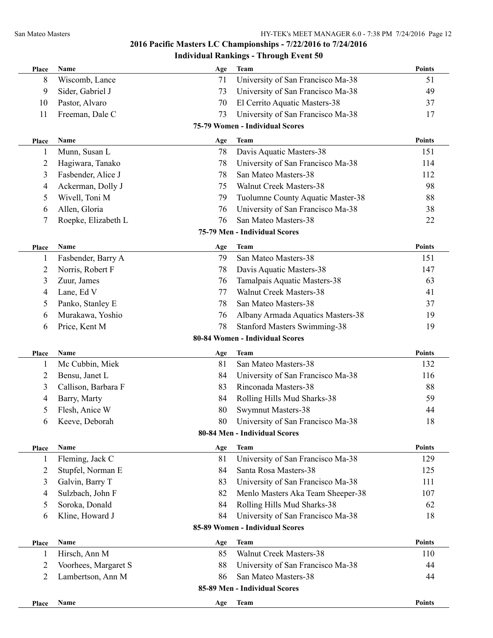# **Individual Rankings - Through Event 50**

| Place          | <b>Name</b>          | Age | <b>Team</b>                         | <b>Points</b> |
|----------------|----------------------|-----|-------------------------------------|---------------|
| 8              | Wiscomb, Lance       | 71  | University of San Francisco Ma-38   | 51            |
| 9              | Sider, Gabriel J     | 73  | University of San Francisco Ma-38   | 49            |
| 10             | Pastor, Alvaro       | 70  | El Cerrito Aquatic Masters-38       | 37            |
| 11             | Freeman, Dale C      | 73  | University of San Francisco Ma-38   | 17            |
|                |                      |     | 75-79 Women - Individual Scores     |               |
| Place          | Name                 | Age | <b>Team</b>                         | <b>Points</b> |
| 1              | Munn, Susan L        | 78  | Davis Aquatic Masters-38            | 151           |
| 2              | Hagiwara, Tanako     | 78  | University of San Francisco Ma-38   | 114           |
| 3              | Fasbender, Alice J   | 78  | San Mateo Masters-38                | 112           |
| 4              | Ackerman, Dolly J    | 75  | Walnut Creek Masters-38             | 98            |
| 5              | Wivell, Toni M       | 79  | Tuolumne County Aquatic Master-38   | 88            |
| 6              | Allen, Gloria        | 76  | University of San Francisco Ma-38   | 38            |
| 7              | Roepke, Elizabeth L  | 76  | San Mateo Masters-38                | 22            |
|                |                      |     | 75-79 Men - Individual Scores       |               |
| Place          | Name                 | Age | <b>Team</b>                         | <b>Points</b> |
| 1              | Fasbender, Barry A   | 79  | San Mateo Masters-38                | 151           |
| $\overline{c}$ | Norris, Robert F     | 78  | Davis Aquatic Masters-38            | 147           |
| 3              | Zuur, James          | 76  | Tamalpais Aquatic Masters-38        | 63            |
| 4              | Lane, Ed V           | 77  | <b>Walnut Creek Masters-38</b>      | 41            |
| 5              | Panko, Stanley E     | 78  | San Mateo Masters-38                | 37            |
| 6              | Murakawa, Yoshio     | 76  | Albany Armada Aquatics Masters-38   | 19            |
| 6              | Price, Kent M        | 78  | <b>Stanford Masters Swimming-38</b> | 19            |
|                |                      |     | 80-84 Women - Individual Scores     |               |
| Place          | Name                 | Age | Team                                | Points        |
| 1              | Mc Cubbin, Miek      | 81  | San Mateo Masters-38                | 132           |
| $\overline{c}$ | Bensu, Janet L       | 84  | University of San Francisco Ma-38   | 116           |
| 3              | Callison, Barbara F  | 83  | Rinconada Masters-38                | 88            |
| 4              | Barry, Marty         | 84  | Rolling Hills Mud Sharks-38         | 59            |
| 5              | Flesh, Anice W       | 80  | <b>Swymnut Masters-38</b>           | 44            |
| 6              | Keeve, Deborah       | 80  | University of San Francisco Ma-38   | 18            |
|                |                      |     | 80-84 Men - Individual Scores       |               |
| Place          | Name                 | Age | <b>Team</b>                         | <b>Points</b> |
| 1              | Fleming, Jack C      | 81  | University of San Francisco Ma-38   | 129           |
| 2              | Stupfel, Norman E    | 84  | Santa Rosa Masters-38               | 125           |
| 3              | Galvin, Barry T      | 83  | University of San Francisco Ma-38   | 111           |
| 4              | Sulzbach, John F     | 82  | Menlo Masters Aka Team Sheeper-38   | 107           |
| 5              | Soroka, Donald       | 84  | Rolling Hills Mud Sharks-38         | 62            |
| 6              | Kline, Howard J      | 84  | University of San Francisco Ma-38   | 18            |
|                |                      |     | 85-89 Women - Individual Scores     |               |
| Place          | Name                 | Age | <b>Team</b>                         | <b>Points</b> |
| 1              | Hirsch, Ann M        | 85  | <b>Walnut Creek Masters-38</b>      | 110           |
| 2              | Voorhees, Margaret S | 88  | University of San Francisco Ma-38   | 44            |
| 2              | Lambertson, Ann M    | 86  | San Mateo Masters-38                | 44            |
|                |                      |     | 85-89 Men - Individual Scores       |               |
| Place          | Name                 | Age | <b>Team</b>                         | <b>Points</b> |
|                |                      |     |                                     |               |